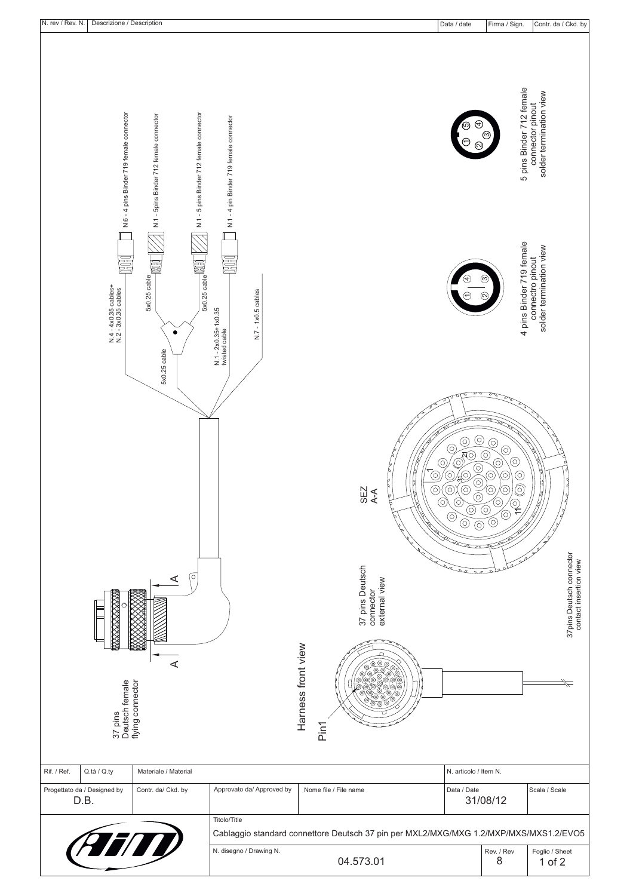